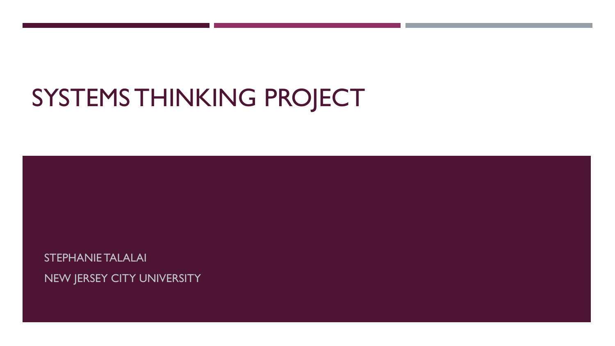# SYSTEMS THINKING PROJECT

STEPHANIE TALALAI NEW JERSEY CITY UNIVERSITY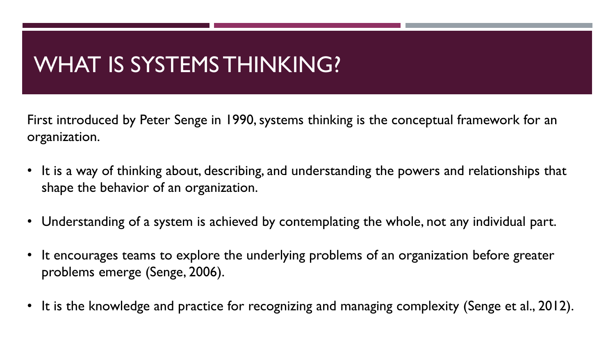### WHAT IS SYSTEMS THINKING?

First introduced by Peter Senge in 1990, systems thinking is the conceptual framework for an organization.

- It is a way of thinking about, describing, and understanding the powers and relationships that shape the behavior of an organization.
- Understanding of a system is achieved by contemplating the whole, not any individual part.
- It encourages teams to explore the underlying problems of an organization before greater problems emerge (Senge, 2006).
- It is the knowledge and practice for recognizing and managing complexity (Senge et al., 2012).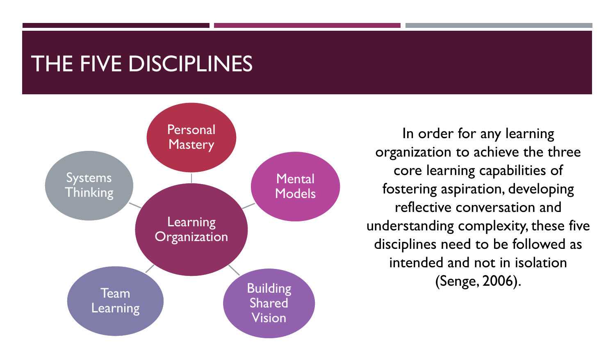#### THE FIVE DISCIPLINES



In order for any learning organization to achieve the three core learning capabilities of fostering aspiration, developing reflective conversation and understanding complexity, these five disciplines need to be followed as intended and not in isolation (Senge, 2006).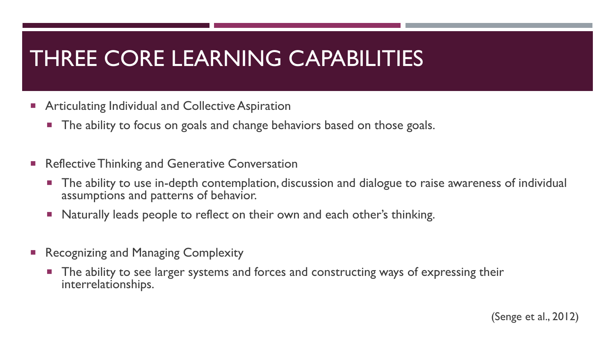#### THREE CORE LEARNING CAPABILITIES

- **Articulating Individual and Collective Aspiration** 
	- **The ability to focus on goals and change behaviors based on those goals.**
- **Reflective Thinking and Generative Conversation** 
	- **The ability to use in-depth contemplation, discussion and dialogue to raise awareness of individual** assumptions and patterns of behavior.
	- **Naturally leads people to reflect on their own and each other's thinking.**
- **Recognizing and Managing Complexity** 
	- **The ability to see larger systems and forces and constructing ways of expressing their** interrelationships.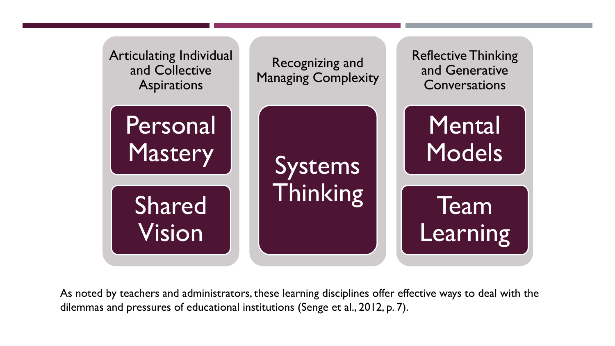

As noted by teachers and administrators, these learning disciplines offer effective ways to deal with the dilemmas and pressures of educational institutions (Senge et al., 2012, p. 7).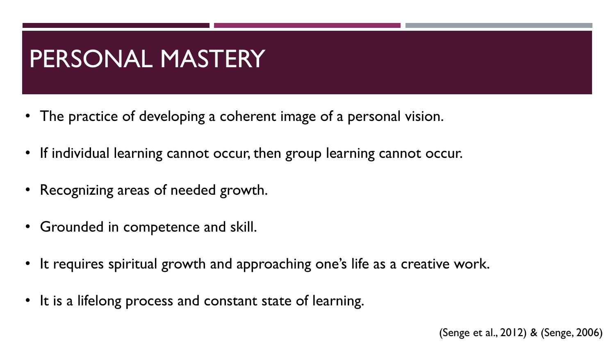## PERSONAL MASTERY

- The practice of developing a coherent image of a personal vision.
- If individual learning cannot occur, then group learning cannot occur.
- Recognizing areas of needed growth.
- Grounded in competence and skill.
- It requires spiritual growth and approaching one's life as a creative work.
- It is a lifelong process and constant state of learning.

(Senge et al., 2012) & (Senge, 2006)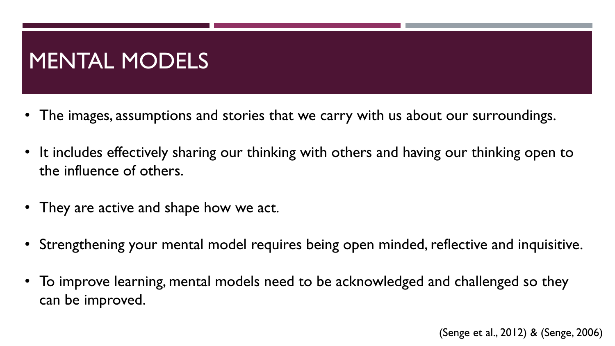## MENTAL MODELS

- The images, assumptions and stories that we carry with us about our surroundings.
- It includes effectively sharing our thinking with others and having our thinking open to the influence of others.
- They are active and shape how we act.
- Strengthening your mental model requires being open minded, reflective and inquisitive.
- To improve learning, mental models need to be acknowledged and challenged so they can be improved.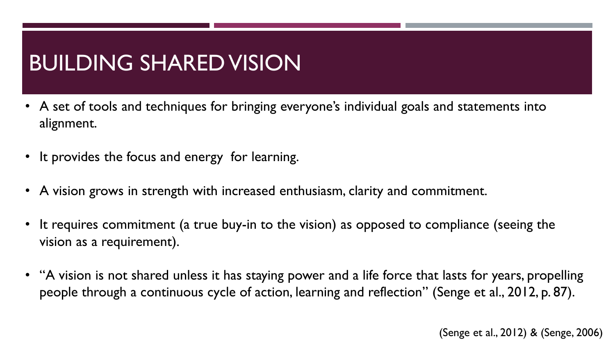## BUILDING SHARED VISION

- A set of tools and techniques for bringing everyone's individual goals and statements into alignment.
- It provides the focus and energy for learning.
- A vision grows in strength with increased enthusiasm, clarity and commitment.
- It requires commitment (a true buy-in to the vision) as opposed to compliance (seeing the vision as a requirement).
- "A vision is not shared unless it has staying power and a life force that lasts for years, propelling people through a continuous cycle of action, learning and reflection" (Senge et al., 2012, p. 87).

(Senge et al., 2012) & (Senge, 2006)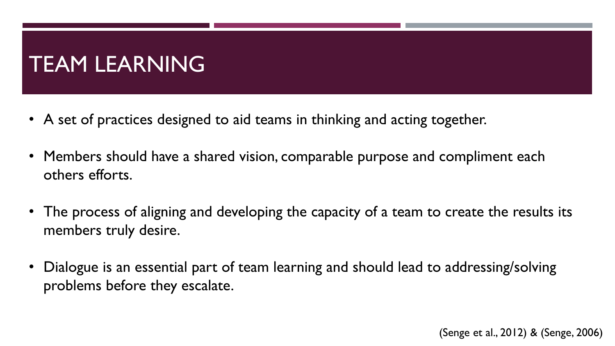### TEAM LEARNING

- A set of practices designed to aid teams in thinking and acting together.
- Members should have a shared vision, comparable purpose and compliment each others efforts.
- The process of aligning and developing the capacity of a team to create the results its members truly desire.
- Dialogue is an essential part of team learning and should lead to addressing/solving problems before they escalate.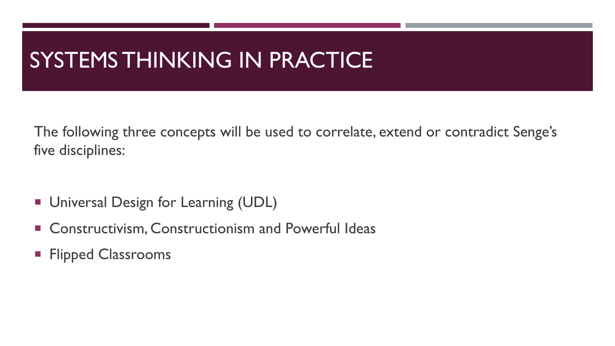### SYSTEMS THINKING IN PRACTICE

The following three concepts will be used to correlate, extend or contradict Senge's five disciplines:

- **Universal Design for Learning (UDL)**
- **E** Constructivism, Constructionism and Powerful Ideas
- **Flipped Classrooms**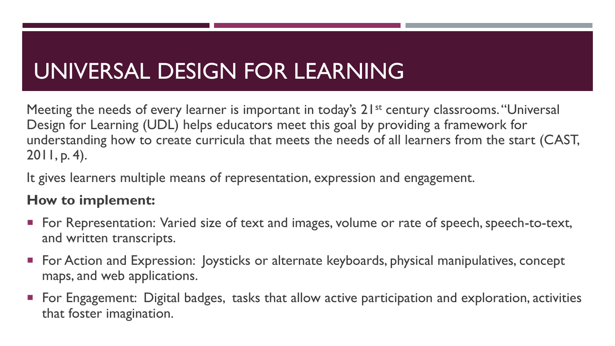## UNIVERSAL DESIGN FOR LEARNING

Meeting the needs of every learner is important in today's 21<sup>st</sup> century classrooms. "Universal Design for Learning (UDL) helps educators meet this goal by providing a framework for understanding how to create curricula that meets the needs of all learners from the start (CAST, 2011, p. 4).

It gives learners multiple means of representation, expression and engagement.

#### **How to implement:**

- For Representation: Varied size of text and images, volume or rate of speech, speech-to-text, and written transcripts.
- **For Action and Expression: Joysticks or alternate keyboards, physical manipulatives, concept** maps, and web applications.
- For Engagement: Digital badges, tasks that allow active participation and exploration, activities that foster imagination.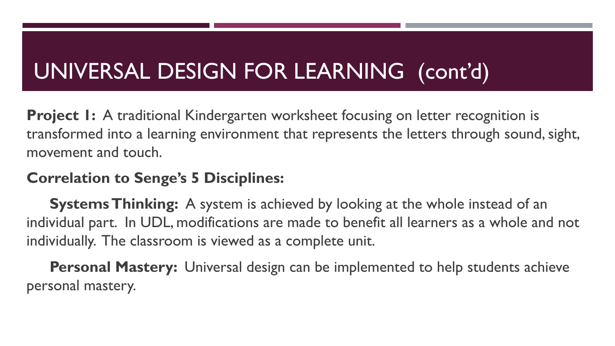# UNIVERSAL DESIGN FOR LEARNING (cont'd)

**Project 1:** A traditional Kindergarten worksheet focusing on letter recognition is transformed into a learning environment that represents the letters through sound, sight, movement and touch.

#### **Correlation to Senge's 5 Disciplines:**

**Systems Thinking:** A system is achieved by looking at the whole instead of an individual part. In UDL, modifications are made to benefit all learners as a whole and not individually. The classroom is viewed as a complete unit.

**Personal Mastery:** Universal design can be implemented to help students achieve personal mastery.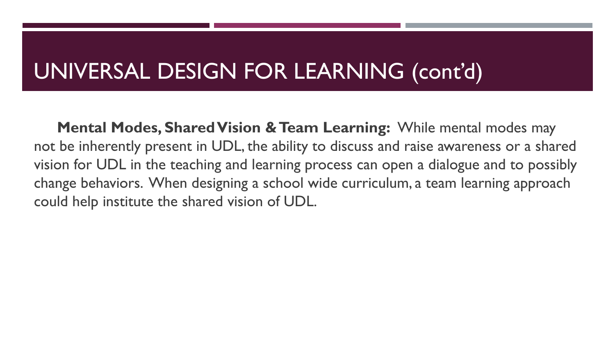### UNIVERSAL DESIGN FOR LEARNING (cont'd)

**Mental Modes, Shared Vision & Team Learning:** While mental modes may not be inherently present in UDL, the ability to discuss and raise awareness or a shared vision for UDL in the teaching and learning process can open a dialogue and to possibly change behaviors. When designing a school wide curriculum, a team learning approach could help institute the shared vision of UDL.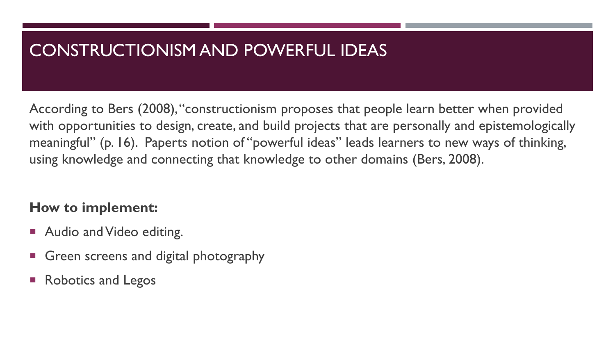#### CONSTRUCTIONISM AND POWERFUL IDEAS

According to Bers (2008), "constructionism proposes that people learn better when provided with opportunities to design, create, and build projects that are personally and epistemologically meaningful" (p. 16). Paperts notion of "powerful ideas" leads learners to new ways of thinking, using knowledge and connecting that knowledge to other domains (Bers, 2008).

#### **How to implement:**

- Audio and Video editing.
- Green screens and digital photography
- Robotics and Legos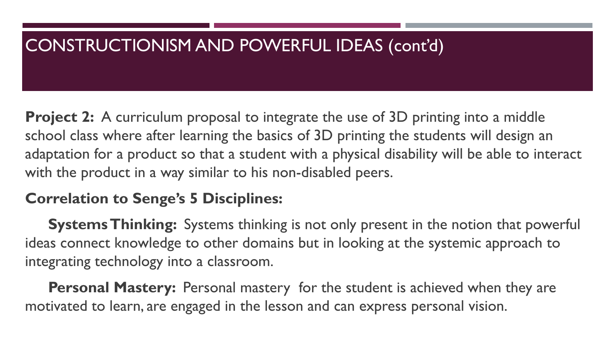#### CONSTRUCTIONISM AND POWERFUL IDEAS (cont'd)

**Project 2:** A curriculum proposal to integrate the use of 3D printing into a middle school class where after learning the basics of 3D printing the students will design an adaptation for a product so that a student with a physical disability will be able to interact with the product in a way similar to his non-disabled peers.

#### **Correlation to Senge's 5 Disciplines:**

**Systems Thinking:** Systems thinking is not only present in the notion that powerful ideas connect knowledge to other domains but in looking at the systemic approach to integrating technology into a classroom.

**Personal Mastery:** Personal mastery for the student is achieved when they are motivated to learn, are engaged in the lesson and can express personal vision.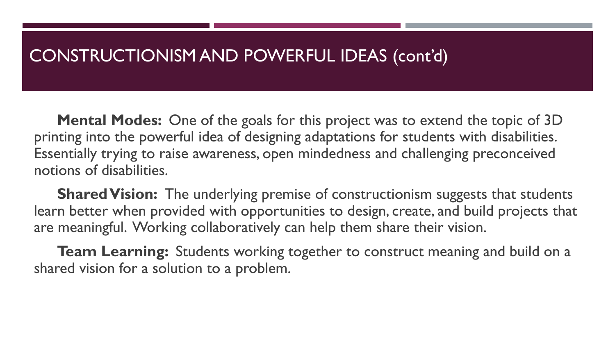#### CONSTRUCTIONISM AND POWERFUL IDEAS (cont'd)

**Mental Modes:** One of the goals for this project was to extend the topic of 3D printing into the powerful idea of designing adaptations for students with disabilities. Essentially trying to raise awareness, open mindedness and challenging preconceived notions of disabilities.

**Shared Vision:** The underlying premise of constructionism suggests that students learn better when provided with opportunities to design, create, and build projects that are meaningful. Working collaboratively can help them share their vision.

**Team Learning:** Students working together to construct meaning and build on a shared vision for a solution to a problem.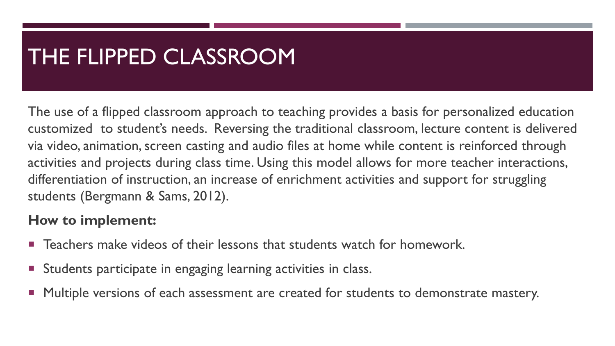### THE FLIPPED CLASSROOM

The use of a flipped classroom approach to teaching provides a basis for personalized education customized to student's needs. Reversing the traditional classroom, lecture content is delivered via video, animation, screen casting and audio files at home while content is reinforced through activities and projects during class time. Using this model allows for more teacher interactions, differentiation of instruction, an increase of enrichment activities and support for struggling students (Bergmann & Sams, 2012).

#### **How to implement:**

- **Teachers make videos of their lessons that students watch for homework.**
- **Students participate in engaging learning activities in class.**
- Multiple versions of each assessment are created for students to demonstrate mastery.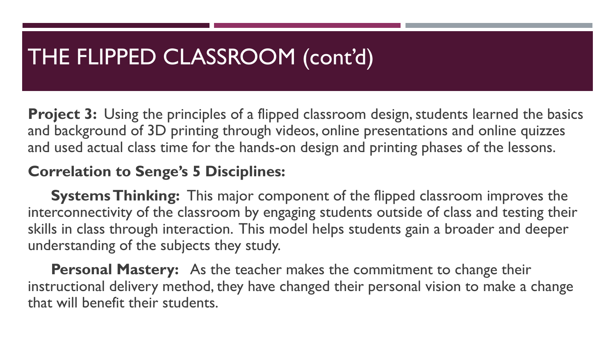### THE FLIPPED CLASSROOM (cont'd)

**Project 3:** Using the principles of a flipped classroom design, students learned the basics and background of 3D printing through videos, online presentations and online quizzes and used actual class time for the hands-on design and printing phases of the lessons.

#### **Correlation to Senge's 5 Disciplines:**

**Systems Thinking:** This major component of the flipped classroom improves the interconnectivity of the classroom by engaging students outside of class and testing their skills in class through interaction. This model helps students gain a broader and deeper understanding of the subjects they study.

**Personal Mastery:** As the teacher makes the commitment to change their instructional delivery method, they have changed their personal vision to make a change that will benefit their students.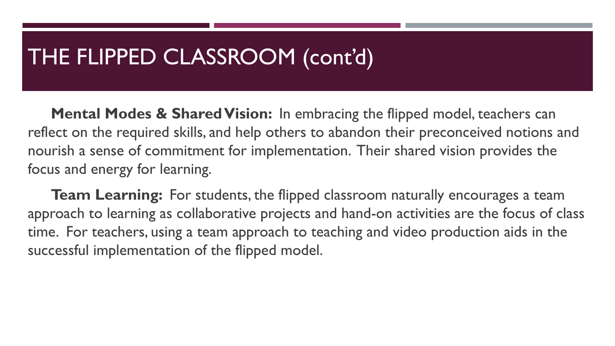#### THE FLIPPED CLASSROOM (cont'd)

**Mental Modes & Shared Vision:** In embracing the flipped model, teachers can reflect on the required skills, and help others to abandon their preconceived notions and nourish a sense of commitment for implementation. Their shared vision provides the focus and energy for learning.

**Team Learning:** For students, the flipped classroom naturally encourages a team approach to learning as collaborative projects and hand-on activities are the focus of class time. For teachers, using a team approach to teaching and video production aids in the successful implementation of the flipped model.